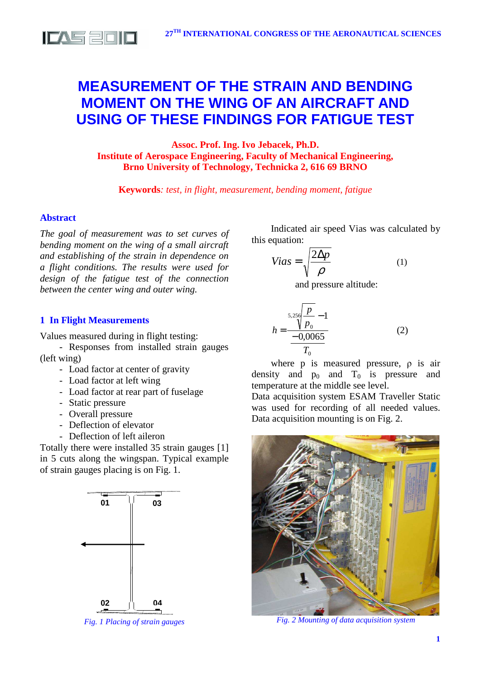

# **MEASUREMENT OF THE STRAIN AND BENDING MOMENT ON THE WING OF AN AIRCRAFT AND USING OF THESE FINDINGS FOR FATIGUE TEST**

**Assoc. Prof. Ing. Ivo Jebacek, Ph.D. Institute of Aerospace Engineering, Faculty of Mechanical Engineering, Brno University of Technology, Technicka 2, 616 69 BRNO**

**Keywords***: test, in flight, measurement, bending moment, fatigue* 

*h*

# **Abstract**

*The goal of measurement was to set curves of bending moment on the wing of a small aircraft and establishing of the strain in dependence on a flight conditions. The results were used for design of the fatigue test of the connection between the center wing and outer wing.* 

# **1 In Flight Measurements**

Values measured during in flight testing:

- Responses from installed strain gauges (left wing)

- Load factor at center of gravity
- Load factor at left wing
- Load factor at rear part of fuselage
- Static pressure
- Overall pressure
- Deflection of elevator
- Deflection of left aileron

Totally there were installed 35 strain gauges [1] in 5 cuts along the wingspan. Typical example of strain gauges placing is on Fig. 1.



*Fig. 1 Placing of strain gauges* 

Indicated air speed Vias was calculated by this equation:

$$
Vias = \sqrt{\frac{2\Delta p}{\rho}}\tag{1}
$$

and pressure altitude:

$$
h = \frac{5,256 \frac{p}{p_0} - 1}{\frac{-0,0065}{T_0}}
$$
 (2)

where p is measured pressure, ρ is air density and  $p_0$  and  $T_0$  is pressure and temperature at the middle see level.

Data acquisition system ESAM Traveller Static was used for recording of all needed values. Data acquisition mounting is on Fig. 2.



*Fig. 2 Mounting of data acquisition system*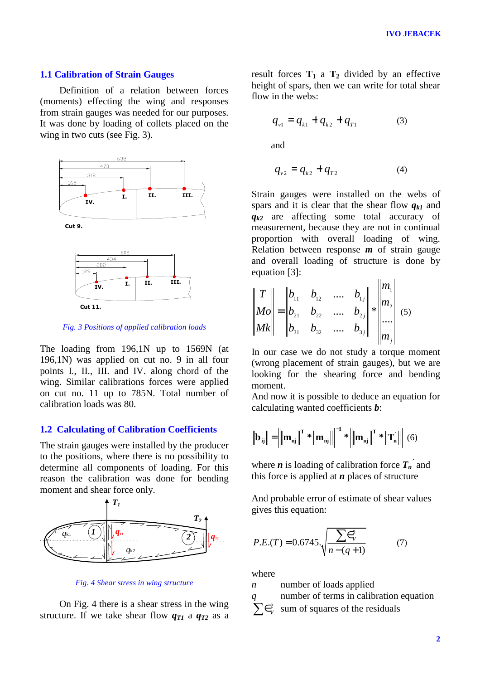## **1.1 Calibration of Strain Gauges**

Definition of a relation between forces (moments) effecting the wing and responses from strain gauges was needed for our purposes. It was done by loading of collets placed on the wing in two cuts (see Fig. 3).



*Fig. 3 Positions of applied calibration loads* 

The loading from 196,1N up to 1569N (at 196,1N) was applied on cut no. 9 in all four points I., II., III. and IV. along chord of the wing. Similar calibrations forces were applied on cut no. 11 up to 785N. Total number of calibration loads was 80.

## **1.2 Calculating of Calibration Coefficients**

The strain gauges were installed by the producer to the positions, where there is no possibility to determine all components of loading. For this reason the calibration was done for bending moment and shear force only.



*Fig. 4 Shear stress in wing structure* 

On Fig. 4 there is a shear stress in the wing structure. If we take shear flow  $q_{T1}$  a  $q_{T2}$  as a result forces  $T_1$  a  $T_2$  divided by an effective height of spars, then we can write for total shear flow in the webs:

$$
q_{v1} = q_{k1} + q_{k2} + q_{T1} \tag{3}
$$

and

$$
q_{v2} = q_{k2} + q_{T2} \tag{4}
$$

Strain gauges were installed on the webs of spars and it is clear that the shear flow *qk1* and *qk2* are affecting some total accuracy of measurement, because they are not in continual proportion with overall loading of wing. Relation between response *m* of strain gauge and overall loading of structure is done by equation [3]:  $\overline{11}$  $\mathbf{u}$ 

$$
\begin{vmatrix} T \\ Mo \\ Mk \end{vmatrix} = \begin{vmatrix} b_{11} & b_{12} & \dots & b_{1j} \\ b_{21} & b_{22} & \dots & b_{2j} \\ b_{31} & b_{32} & \dots & b_{3j} \end{vmatrix} * \begin{vmatrix} m_1 \\ m_2 \\ \dots \\ m_j \end{vmatrix} (5)
$$

In our case we do not study a torque moment (wrong placement of strain gauges), but we are looking for the shearing force and bending moment.

And now it is possible to deduce an equation for calculating wanted coefficients *b*:

$$
\left\| \mathbf{b}_{ij} \right\| = \left\| \left\| \mathbf{m}_{nj} \right\|^T * \left\| \mathbf{m}_{nj} \right\| \right\|^{-1} * \left\| \mathbf{m}_{nj} \right\|^T * \left\| \mathbf{T}_n \right\| \right\| (6)
$$

where *n* is loading of calibration force  $T_n$ <sup> $\hat{i}$ </sup> and this force is applied at *n* places of structure

And probable error of estimate of shear values gives this equation:

$$
P.E.(T) = 0.6745 \cdot \sqrt{\frac{\sum \in \mathcal{C}_V}{n - (q + 1)}}\tag{7}
$$

where

*n* number of loads applied

*q* number of terms in calibration equation  $\sum \epsilon_{\scriptscriptstyle V}^{\scriptscriptstyle 2}$  $\frac{2}{v}$  sum of squares of the residuals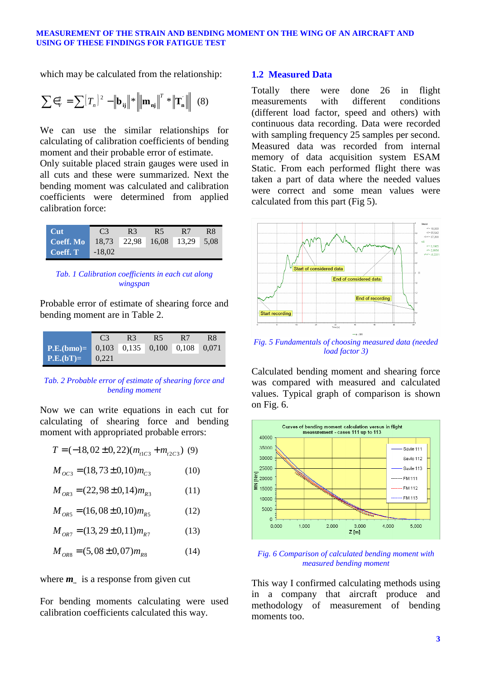#### **MEASUREMENT OF THE STRAIN AND BENDING MOMENT ON THE WING OF AN AIRCRAFT AND USING OF THESE FINDINGS FOR FATIGUE TEST**

which may be calculated from the relationship:

$$
\sum \epsilon_{\rm v}^2 = \sum (T_n)^2 - \left\| \mathbf{b}_{ij} \right\|^* \left\| \mathbf{m}_{\mathbf{n}j} \right\|^T * \left\| \mathbf{T}_n \right\| \tag{8}
$$

We can use the similar relationships for calculating of calibration coefficients of bending moment and their probable error of estimate.

Only suitable placed strain gauges were used in all cuts and these were summarized. Next the bending moment was calculated and calibration coefficients were determined from applied calibration force:

| Cut       | C3       | R <sub>3</sub> | R <sub>5</sub>               | R7 | R8 |
|-----------|----------|----------------|------------------------------|----|----|
| Coeff. Mo |          |                | 18,73 22,98 16,08 13,29 5,08 |    |    |
| Coeff. T  | $-18.02$ |                |                              |    |    |

*Tab. 1 Calibration coefficients in each cut along wingspan* 

Probable error of estimate of shearing force and bending moment are in Table 2.

|                                                                                          | C <sub>3</sub> | R <sub>3</sub> | R <sub>5</sub> | R7 | R8 |
|------------------------------------------------------------------------------------------|----------------|----------------|----------------|----|----|
| <b>P.E.</b> (bmo)= $\begin{bmatrix} 0.103 & 0.135 & 0.100 & 0.108 & 0.071 \end{bmatrix}$ |                |                |                |    |    |
| $P.E.(bT)=$                                                                              | 0.221          |                |                |    |    |

### *Tab. 2 Probable error of estimate of shearing force and bending moment*

Now we can write equations in each cut for calculating of shearing force and bending moment with appropriated probable errors:

$$
T = (-18, 02 \pm 0, 22)(m_{11C3} + m_{12C3}) \tag{9}
$$
  

$$
M_{OC3} = (18, 73 \pm 0, 10)m_{C3} \tag{10}
$$

$$
M_{OR3} = (22,98 \pm 0,14)m_{R3} \tag{11}
$$

$$
M_{\text{OR5}} = (16,08 \pm 0,10)m_{\text{RS}} \tag{12}
$$

$$
M_{OR7} = (13, 29 \pm 0, 11) m_{R7}
$$
 (13)

$$
M_{OR8} = (5,08 \pm 0,07)m_{R8} \tag{14}
$$

where *m* is a response from given cut

For bending moments calculating were used calibration coefficients calculated this way.

## **1.2 Measured Data**

Totally there were done 26 in flight measurements with different conditions (different load factor, speed and others) with continuous data recording. Data were recorded with sampling frequency 25 samples per second. Measured data was recorded from internal memory of data acquisition system ESAM Static. From each performed flight there was taken a part of data where the needed values were correct and some mean values were calculated from this part (Fig 5).



*Fig. 5 Fundamentals of choosing measured data (needed load factor 3)* 

Calculated bending moment and shearing force was compared with measured and calculated values. Typical graph of comparison is shown on Fig. 6.



*Fig. 6 Comparison of calculated bending moment with measured bending moment*

This way I confirmed calculating methods using in a company that aircraft produce and methodology of measurement of bending moments too.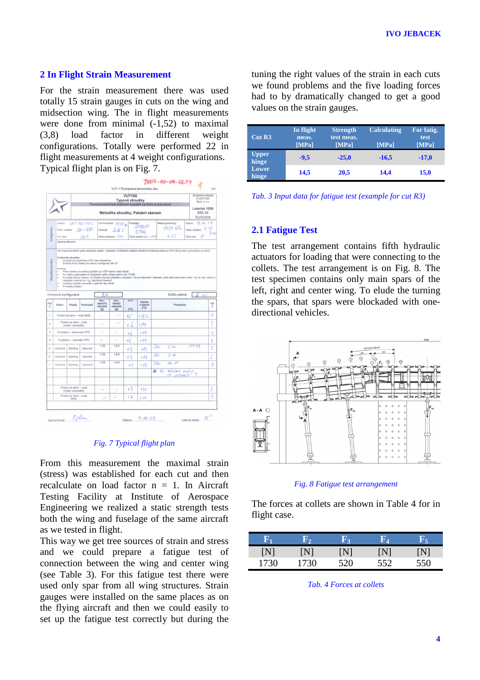## **2 In Flight Strain Measurement**

For the strain measurement there was used totally 15 strain gauges in cuts on the wing and midsection wing. The in flight measurements were done from minimal (-1,52) to maximal (3,8) load factor in different weight configurations. Totally were performed 22 in flight measurements at 4 weight configurations. Typical flight plan is on Fig. 7.



#### *Fig. 7 Typical flight plan*

From this measurement the maximal strain (stress) was established for each cut and then recalculate on load factor  $n = 1$ . In Aircraft Testing Facility at Institute of Aerospace Engineering we realized a static strength tests both the wing and fuselage of the same aircraft as we tested in flight.

This way we get tree sources of strain and stress and we could prepare a fatigue test of connection between the wing and center wing (see Table 3). For this fatigue test there were used only spar from all wing structures. Strain gauges were installed on the same places as on the flying aircraft and then we could easily to set up the fatigue test correctly but during the

tuning the right values of the strain in each cuts we found problems and the five loading forces had to by dramatically changed to get a good values on the strain gauges.

| Cut R3                | In flight<br>meas.<br>[MPa] | <b>Strength</b><br>test meas.<br>[MPa] | <b>Calculating</b><br>[MPa] | For fatig.<br>test<br>[MPa] |
|-----------------------|-----------------------------|----------------------------------------|-----------------------------|-----------------------------|
| <b>Upper</b><br>hinge | $-9,5$                      | $-25.0$                                | $-16,5$                     | $-17,0$                     |
| Lower<br>hinge        | 14,5                        | 20,5                                   | 14,4                        | 15,0                        |

*Tab. 3 Input data for fatigue test (example for cut R3)* 

## **2.1 Fatigue Test**

The test arrangement contains fifth hydraulic actuators for loading that were connecting to the collets. The test arrangement is on Fig. 8. The test specimen contains only main spars of the left, right and center wing. To elude the turning the spars, that spars were blockaded with onedirectional vehicles.



*Fig. 8 Fatigue test arrangement* 

The forces at collets are shown in Table 4 for in flight case.

| $\mathbf{F_{1}}$ | Е,   | F۰, | R.  | $R_{\rm B}$ |
|------------------|------|-----|-----|-------------|
| ĮΝ               | N    | N   | N   |             |
| 1730             | 1730 | 520 | 552 | 550         |

*Tab. 4 Forces at collets*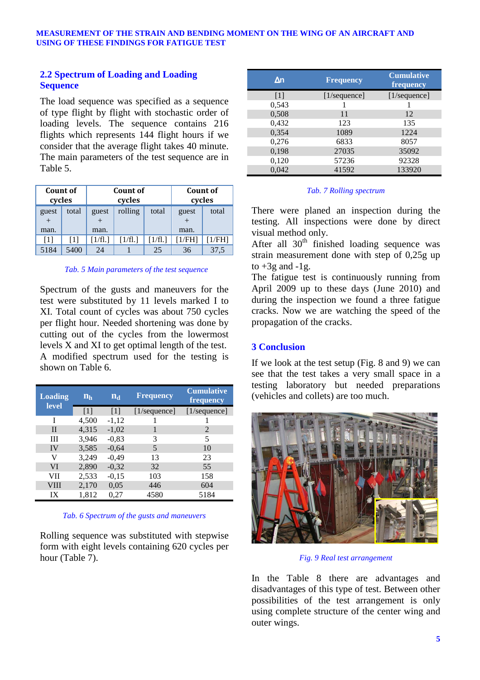# **2.2 Spectrum of Loading and Loading Sequence**

The load sequence was specified as a sequence of type flight by flight with stochastic order of loading levels. The sequence contains 216 flights which represents 144 flight hours if we consider that the average flight takes 40 minute. The main parameters of the test sequence are in Table 5.

| Count of<br>cycles |       | Count of<br>cycles |         |       | cycles           | Count of |
|--------------------|-------|--------------------|---------|-------|------------------|----------|
| guest<br>man.      | total | guest<br>man.      | rolling | total | guest<br>man.    | total    |
| [1]                | [1]   | 1/fl.              | 1/fl.1  | 1/f1. | /FH <sub>1</sub> | /FHI     |
| 5184               | 5400  | 24                 |         | 25    | 36               | 37,5     |

## *Tab. 5 Main parameters of the test sequence*

Spectrum of the gusts and maneuvers for the test were substituted by 11 levels marked I to XI. Total count of cycles was about 750 cycles per flight hour. Needed shortening was done by cutting out of the cycles from the lowermost levels X and XI to get optimal length of the test. A modified spectrum used for the testing is shown on Table 6.

| <b>Loading</b><br><b>level</b> | $n_h$             | $n_{\rm d}$       | <b>Frequency</b> | <b>Cumulative</b><br>frequency |
|--------------------------------|-------------------|-------------------|------------------|--------------------------------|
|                                | $\lceil 1 \rceil$ | $\lceil 1 \rceil$ | [1/sequence]     | [1/sequence]                   |
|                                | 4,500             | $-1,12$           |                  |                                |
| П                              | 4,315             | $-1,02$           |                  | $\mathcal{D}_{\mathcal{L}}$    |
| Ш                              | 3,946             | $-0,83$           | 3                | 5                              |
| IV                             | 3,585             | $-0.64$           | 5                | 10                             |
| V                              | 3,249             | $-0,49$           | 13               | 23                             |
| VI                             | 2,890             | $-0,32$           | 32               | 55                             |
| VII                            | 2,533             | $-0,15$           | 103              | 158                            |
| VIII                           | 2,170             | 0,05              | 446              | 604                            |
| IX                             | 1,812             | 0,27              | 4580             | 5184                           |

*Tab. 6 Spectrum of the gusts and maneuvers* 

Rolling sequence was substituted with stepwise form with eight levels containing 620 cycles per hour (Table 7).

| $\Delta n$ | <b>Frequency</b> | <b>Cumulative</b><br>frequency |
|------------|------------------|--------------------------------|
| $[1]$      | [1/sequence]     | [1/sequence]                   |
| 0,543      |                  |                                |
| 0,508      | 11               | 12                             |
| 0,432      | 123              | 135                            |
| 0,354      | 1089             | 1224                           |
| 0,276      | 6833             | 8057                           |
| 0,198      | 27035            | 35092                          |
| 0,120      | 57236            | 92328                          |
| 0.042      | 41592            | 133920                         |

## *Tab. 7 Rolling spectrum*

There were planed an inspection during the testing. All inspections were done by direct visual method only.

After all  $30<sup>th</sup>$  finished loading sequence was strain measurement done with step of 0,25g up to  $+3g$  and  $-1g$ .

The fatigue test is continuously running from April 2009 up to these days (June 2010) and during the inspection we found a three fatigue cracks. Now we are watching the speed of the propagation of the cracks.

# **3 Conclusion**

If we look at the test setup (Fig. 8 and 9) we can see that the test takes a very small space in a testing laboratory but needed preparations (vehicles and collets) are too much.



*Fig. 9 Real test arrangement* 

In the Table 8 there are advantages and disadvantages of this type of test. Between other possibilities of the test arrangement is only using complete structure of the center wing and outer wings.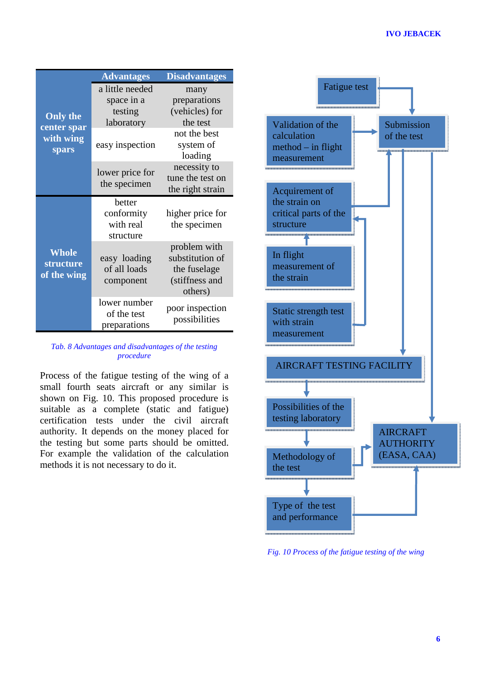|                                                      | <b>Advantages</b>                                      | <b>Disadvantages</b>                                                         |
|------------------------------------------------------|--------------------------------------------------------|------------------------------------------------------------------------------|
| <b>Only the</b><br>center spar<br>with wing<br>spars | a little needed<br>space in a<br>testing<br>laboratory | many<br>preparations<br>(vehicles) for<br>the test                           |
|                                                      | easy inspection                                        | not the best<br>system of<br>loading                                         |
|                                                      | lower price for<br>the specimen                        | necessity to<br>tune the test on<br>the right strain                         |
| <b>Whole</b><br>structure<br>of the wing             | hetter<br>conformity<br>with real<br>structure         | higher price for<br>the specimen                                             |
|                                                      | easy loading<br>of all loads<br>component              | problem with<br>substitution of<br>the fuselage<br>(stiffness and<br>others) |
|                                                      | lower number<br>of the test<br>preparations            | poor inspection<br>possibilities                                             |

*Tab. 8 Advantages and disadvantages of the testing procedure* 

Process of the fatigue testing of the wing of a small fourth seats aircraft or any similar is shown on Fig. 10. This proposed procedure is suitable as a complete (static and fatigue) certification tests under the civil aircraft authority. It depends on the money placed for the testing but some parts should be omitted. For example the validation of the calculation methods it is not necessary to do it.



*Fig. 10 Process of the fatigue testing of the wing*